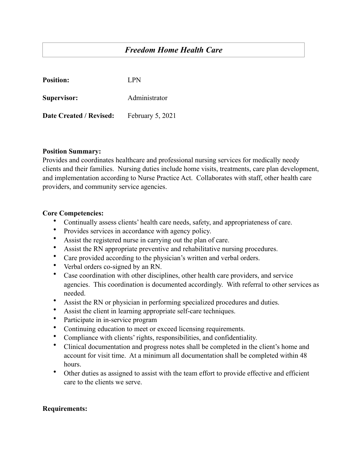# *Freedom Home Health Care*

| <b>Position:</b>               | LPN.             |
|--------------------------------|------------------|
| Supervisor:                    | Administrator    |
| <b>Date Created / Revised:</b> | February 5, 2021 |

### **Position Summary:**

Provides and coordinates healthcare and professional nursing services for medically needy clients and their families. Nursing duties include home visits, treatments, care plan development, and implementation according to Nurse Practice Act. Collaborates with staff, other health care providers, and community service agencies.

#### **Core Competencies:**

- Continually assess clients' health care needs, safety, and appropriateness of care.
- Provides services in accordance with agency policy.
- Assist the registered nurse in carrying out the plan of care.
- Assist the RN appropriate preventive and rehabilitative nursing procedures.
- Care provided according to the physician's written and verbal orders.
- Verbal orders co-signed by an RN.
- Case coordination with other disciplines, other health care providers, and service agencies. This coordination is documented accordingly. With referral to other services as needed.
- Assist the RN or physician in performing specialized procedures and duties.
- Assist the client in learning appropriate self-care techniques.
- Participate in in-service program
- Continuing education to meet or exceed licensing requirements.
- Compliance with clients' rights, responsibilities, and confidentiality.
- Clinical documentation and progress notes shall be completed in the client's home and account for visit time. At a minimum all documentation shall be completed within 48 hours.
- Other duties as assigned to assist with the team effort to provide effective and efficient care to the clients we serve.

## **Requirements:**